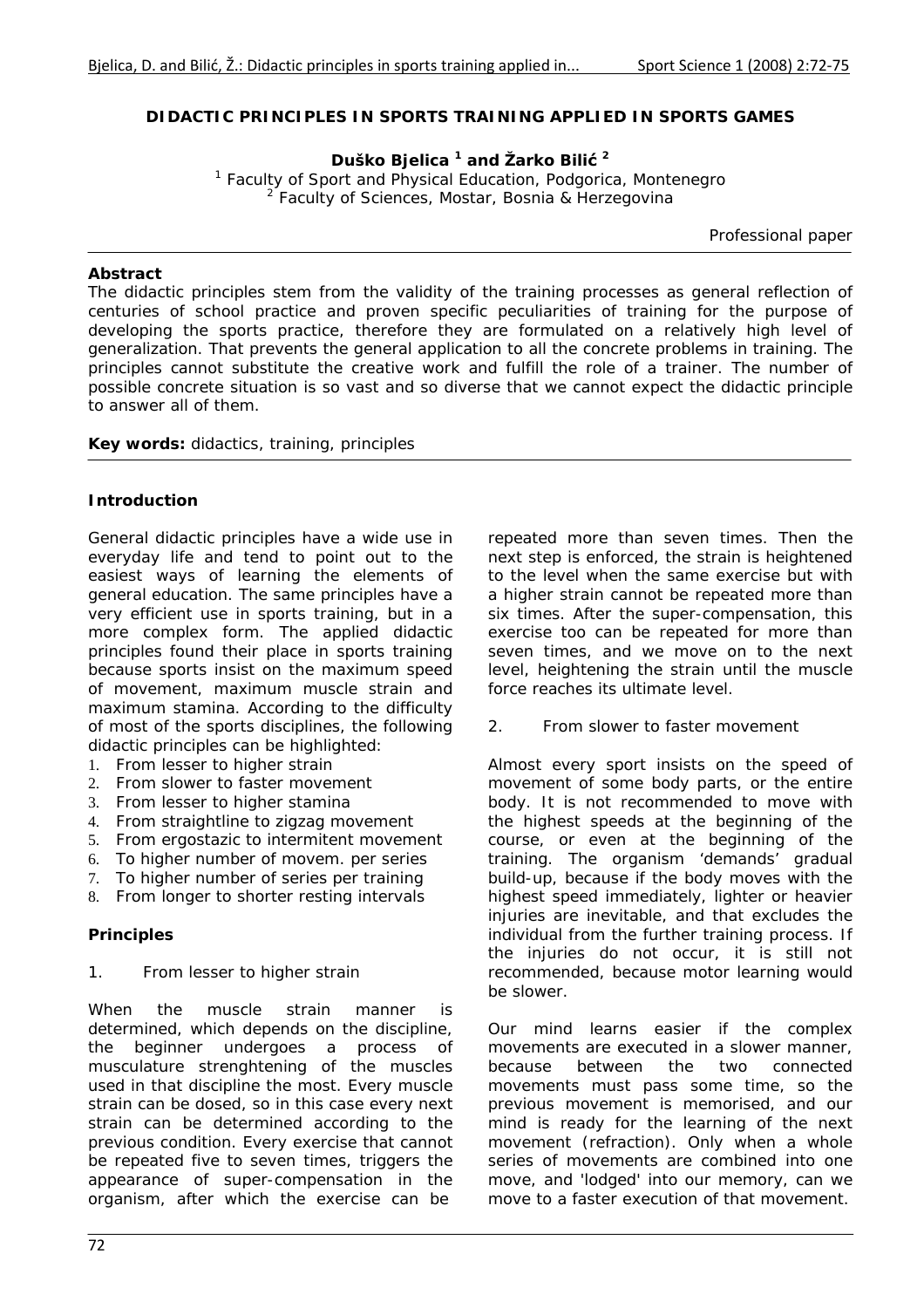## **DIDACTIC PRINCIPLES IN SPORTS TRAINING APPLIED IN SPORTS GAMES**

**Duško Bjelica 1 and Žarko Bilić <sup>2</sup>**

*1 Faculty of Sport and Physical Education, Podgorica, Montenegro 2 Faculty of Sciences, Mostar, Bosnia & Herzegovina* 

*Professional paper* 

### *Abstract*

The didactic principles stem from the validity of the training processes as general reflection of *centuries of school practice and proven specific peculiarities of training for the purpose of*  developing the sports practice, therefore they are formulated on a relatively high level of *generalization. That prevents the general application to all the concrete problems in training. The principles cannot substitute the creative work and fulfill the role of a trainer. The number of possible concrete situation is so vast and so diverse that we cannot expect the didactic principle to answer all of them.* 

*Key words: didactics, training, principles* 

# *Introduction*

General didactic principles have a wide use in everyday life and tend to point out to the easiest ways of learning the elements of general education. The same principles have a very efficient use in sports training, but in a more complex form. The applied didactic principles found their place in sports training because sports insist on the maximum speed of movement, maximum muscle strain and maximum stamina. According to the difficulty of most of the sports disciplines, the following didactic principles can be highlighted:

- 1. From lesser to higher strain
- 2. From slower to faster movement
- 3. From lesser to higher stamina
- 4. From straightline to zigzag movement
- 5. From ergostazic to intermitent movement
- 6. To higher number of movem. per series
- 7. To higher number of series per training
- 8. From longer to shorter resting intervals

# *Principles*

#### *1. From lesser to higher strain*

When the muscle strain manner is determined, which depends on the discipline, the beginner undergoes a process of musculature strenghtening of the muscles used in that discipline the most. Every muscle strain can be dosed, so in this case every next strain can be determined according to the previous condition. Every exercise that cannot be repeated five to seven times, triggers the appearance of super-compensation in the organism, after which the exercise can be

repeated more than seven times. Then the next step is enforced, the strain is heightened to the level when the same exercise but with a higher strain cannot be repeated more than six times. After the super-compensation, this exercise too can be repeated for more than seven times, and we move on to the next level, heightening the strain until the muscle force reaches its ultimate level.

#### *2. From slower to faster movement*

Almost every sport insists on the speed of movement of some body parts, or the entire body. It is not recommended to move with the highest speeds at the beginning of the course, or even at the beginning of the training. The organism 'demands' gradual build-up, because if the body moves with the highest speed immediately, lighter or heavier injuries are inevitable, and that excludes the individual from the further training process. If the injuries do not occur, it is still not recommended, because motor learning would be slower.

Our mind learns easier if the complex movements are executed in a slower manner, because between the two connected movements must pass some time, so the previous movement is memorised, and our mind is ready for the learning of the next movement (refraction). Only when a whole series of movements are combined into one move, and 'lodged' into our memory, can we move to a faster execution of that movement.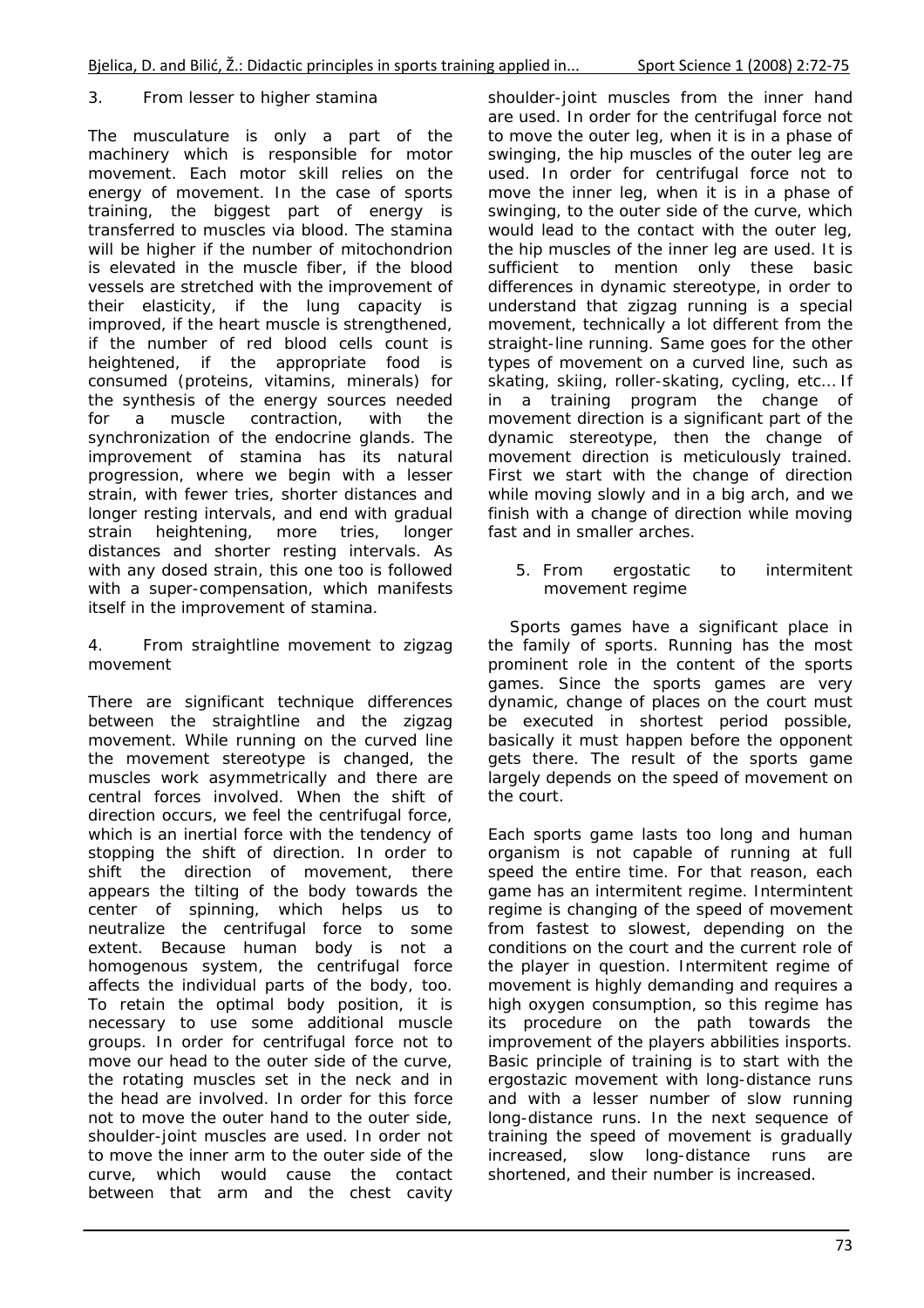# *3. From lesser to higher stamina*

The musculature is only a part of the machinery which is responsible for motor movement. Each motor skill relies on the energy of movement. In the case of sports training, the biggest part of energy is transferred to muscles via blood. The stamina will be higher if the number of mitochondrion is elevated in the muscle fiber, if the blood vessels are stretched with the improvement of their elasticity, if the lung capacity is improved, if the heart muscle is strengthened, if the number of red blood cells count is heightened, if the appropriate food is consumed (proteins, vitamins, minerals) for the synthesis of the energy sources needed for a muscle contraction, with the synchronization of the endocrine glands. The improvement of stamina has its natural progression, where we begin with a lesser strain, with fewer tries, shorter distances and longer resting intervals, and end with gradual strain heightening, more tries, longer distances and shorter resting intervals. As with any dosed strain, this one too is followed with a super-compensation, which manifests itself in the improvement of stamina.

### *4. From straightline movement to zigzag movement*

There are significant technique differences between the straightline and the zigzag movement. While running on the curved line the movement stereotype is changed, the muscles work asymmetrically and there are central forces involved. When the shift of direction occurs, we feel the centrifugal force, which is an inertial force with the tendency of stopping the shift of direction. In order to shift the direction of movement, there appears the tilting of the body towards the center of spinning, which helps us to neutralize the centrifugal force to some extent. Because human body is not a homogenous system, the centrifugal force affects the individual parts of the body, too. To retain the optimal body position, it is necessary to use some additional muscle groups. In order for centrifugal force not to move our head to the outer side of the curve, the rotating muscles set in the neck and in the head are involved. In order for this force not to move the outer hand to the outer side, shoulder-joint muscles are used. In order not to move the inner arm to the outer side of the curve, which would cause the contact between that arm and the chest cavity shoulder-joint muscles from the inner hand are used. In order for the centrifugal force not to move the outer leg, when it is in a phase of swinging, the hip muscles of the outer leg are used. In order for centrifugal force not to move the inner leg, when it is in a phase of swinging, to the outer side of the curve, which would lead to the contact with the outer leg, the hip muscles of the inner leg are used. It is sufficient to mention only these basic differences in dynamic stereotype, in order to understand that zigzag running is a special movement, technically a lot different from the straight-line running. Same goes for the other types of movement on a curved line, such as skating, skiing, roller-skating, cycling, etc… If in a training program the change of movement direction is a significant part of the dynamic stereotype, then the change of movement direction is meticulously trained. First we start with the change of direction while moving slowly and in a big arch, and we finish with a change of direction while moving fast and in smaller arches.

### *5. From ergostatic to intermitent movement regime*

 Sports games have a significant place in the family of sports. Running has the most prominent role in the content of the sports games. Since the sports games are very dynamic, change of places on the court must be executed in shortest period possible, basically it must happen before the opponent gets there. The result of the sports game largely depends on the speed of movement on the court.

Each sports game lasts too long and human organism is not capable of running at full speed the entire time. For that reason, each game has an intermitent regime. Intermintent regime is changing of the speed of movement from fastest to slowest, depending on the conditions on the court and the current role of the player in question. Intermitent regime of movement is highly demanding and requires a high oxygen consumption, so this regime has its procedure on the path towards the improvement of the players abbilities insports. Basic principle of training is to start with the ergostazic movement with long-distance runs and with a lesser number of slow running long-distance runs. In the next sequence of training the speed of movement is gradually increased, slow long-distance runs are shortened, and their number is increased.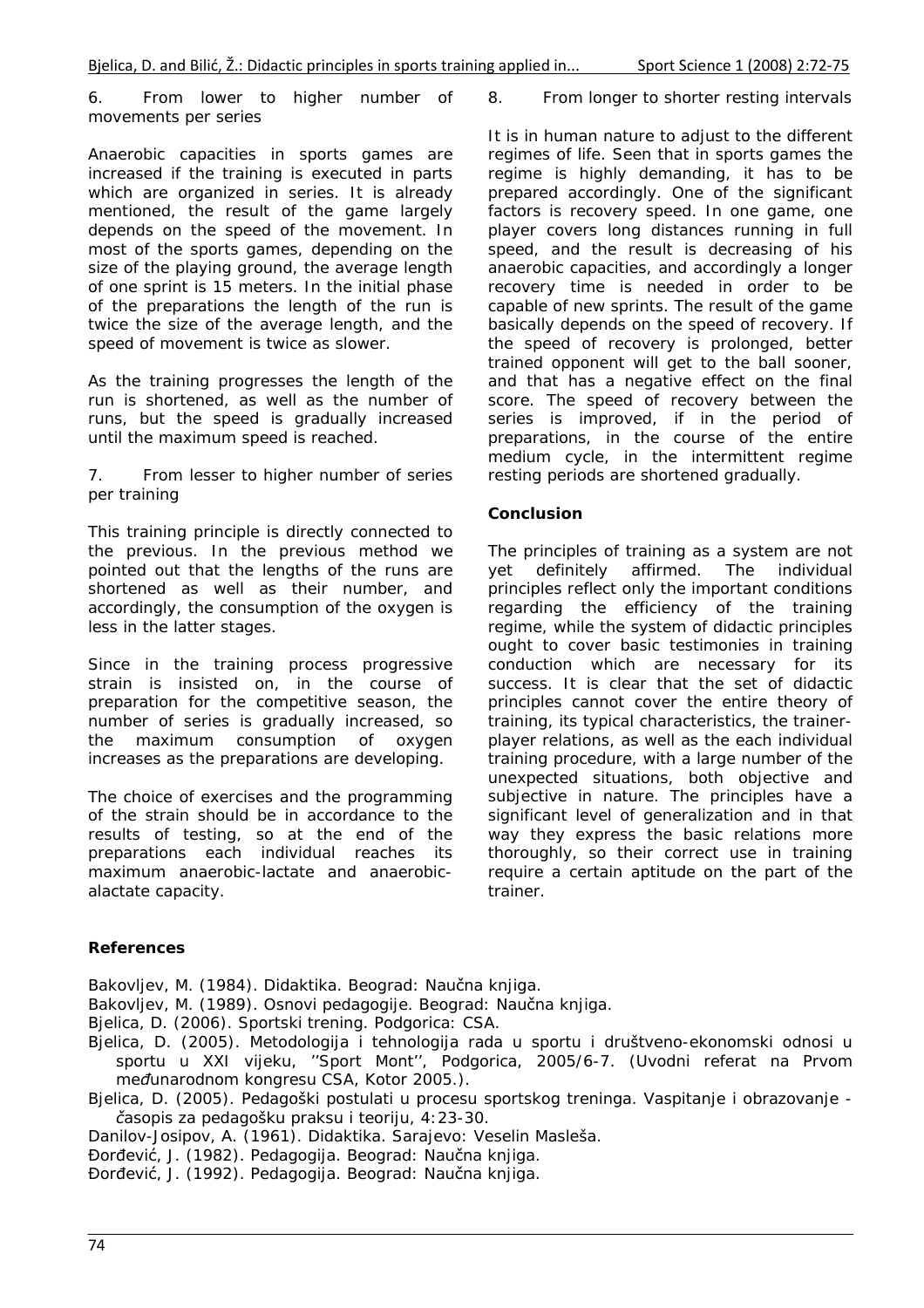### *6. From lower to higher number of movements per series*

Anaerobic capacities in sports games are increased if the training is executed in parts which are organized in series. It is already mentioned, the result of the game largely depends on the speed of the movement. In most of the sports games, depending on the size of the playing ground, the average length of one sprint is 15 meters. In the initial phase of the preparations the length of the run is twice the size of the average length, and the speed of movement is twice as slower.

As the training progresses the length of the run is shortened, as well as the number of runs, but the speed is gradually increased until the maximum speed is reached.

### *7. From lesser to higher number of series per training*

This training principle is directly connected to the previous. In the previous method we pointed out that the lengths of the runs are shortened as well as their number, and accordingly, the consumption of the oxygen is less in the latter stages.

Since in the training process progressive strain is insisted on, in the course of preparation for the competitive season, the number of series is gradually increased, so the maximum consumption of oxygen increases as the preparations are developing.

The choice of exercises and the programming of the strain should be in accordance to the results of testing, so at the end of the preparations each individual reaches its maximum anaerobic-lactate and anaerobicalactate capacity.

#### *8. From longer to shorter resting intervals*

It is in human nature to adjust to the different regimes of life. Seen that in sports games the regime is highly demanding, it has to be prepared accordingly. One of the significant factors is recovery speed. In one game, one player covers long distances running in full speed, and the result is decreasing of his anaerobic capacities, and accordingly a longer recovery time is needed in order to be capable of new sprints. The result of the game basically depends on the speed of recovery. If the speed of recovery is prolonged, better trained opponent will get to the ball sooner, and that has a negative effect on the final score. The speed of recovery between the series is improved, if in the period of preparations, in the course of the entire medium cycle, in the intermittent regime resting periods are shortened gradually.

## *Conclusion*

The principles of training as a system are not yet definitely affirmed. The individual principles reflect only the important conditions regarding the efficiency of the training regime, while the system of didactic principles ought to cover basic testimonies in training conduction which are necessary for its success. It is clear that the set of didactic principles cannot cover the entire theory of training, its typical characteristics, the trainerplayer relations, as well as the each individual training procedure, with a large number of the unexpected situations, both objective and subjective in nature. The principles have a significant level of generalization and in that way they express the basic relations more thoroughly, so their correct use in training require a certain aptitude on the part of the trainer.

# *References*

Bakovljev, M. (1984). *Didaktika*. Beograd: Naučna knjiga.

Bakovljev, M. (1989). *Osnovi pedagogije*. Beograd: Naučna knjiga.

Bjelica, D. (2006). *Sportski trening*. Podgorica: CSA.

- Bjelica, D. (2005). Metodologija i tehnologija rada u sportu i društveno-ekonomski odnosi u sportu u XXI vijeku, *''Sport Mont'', Podgorica, 2005/6-7.* (*Uvodni referat na Prvom međunarodnom kongresu CSA, Kotor 2005*.).
- Bjelica, D. (2005). Pedagoški postulati u procesu sportskog treninga. *Vaspitanje i obrazovanje časopis za pedagošku praksu i teoriju, 4*:23-30.

Danilov-Josipov, A. (1961). *Didaktika*. Sarajevo: Veselin Masleša.

Đorđević, J. (1982). *Pedagogija*. Beograd: Naučna knjiga.

Đorđević, J. (1992). *Pedagogija*. Beograd: Naučna knjiga.